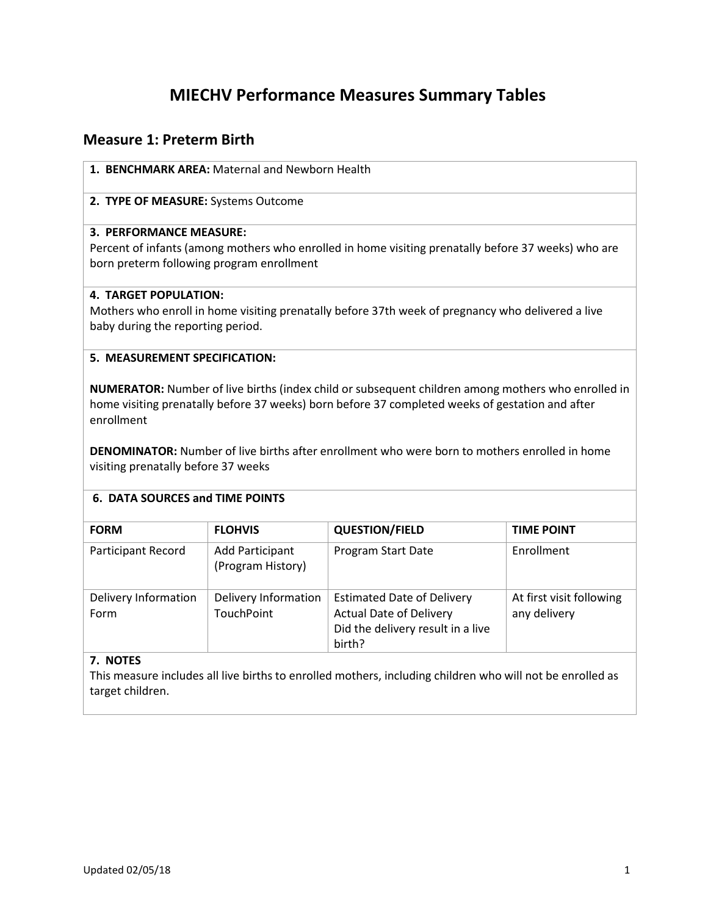# **MIECHV Performance Measures Summary Tables**

## **Measure 1: Preterm Birth**

## **1. BENCHMARK AREA:** Maternal and Newborn Health

## **2. TYPE OF MEASURE:** Systems Outcome

## **3. PERFORMANCE MEASURE:**

Percent of infants (among mothers who enrolled in home visiting prenatally before 37 weeks) who are born preterm following program enrollment

## **4. TARGET POPULATION:**

Mothers who enroll in home visiting prenatally before 37th week of pregnancy who delivered a live baby during the reporting period.

## **5. MEASUREMENT SPECIFICATION:**

**NUMERATOR:** Number of live births (index child or subsequent children among mothers who enrolled in home visiting prenatally before 37 weeks) born before 37 completed weeks of gestation and after enrollment

**DENOMINATOR:** Number of live births after enrollment who were born to mothers enrolled in home visiting prenatally before 37 weeks

## **6. DATA SOURCES and TIME POINTS**

| <b>FORM</b>                  | <b>FLOHVIS</b>                       | <b>QUESTION/FIELD</b>                                                                                              | <b>TIME POINT</b>                        |
|------------------------------|--------------------------------------|--------------------------------------------------------------------------------------------------------------------|------------------------------------------|
| Participant Record           | Add Participant<br>(Program History) | Program Start Date                                                                                                 | Enrollment                               |
| Delivery Information<br>Form | Delivery Information<br>TouchPoint   | <b>Estimated Date of Delivery</b><br><b>Actual Date of Delivery</b><br>Did the delivery result in a live<br>birth? | At first visit following<br>any delivery |

## **7. NOTES**

This measure includes all live births to enrolled mothers, including children who will not be enrolled as target children.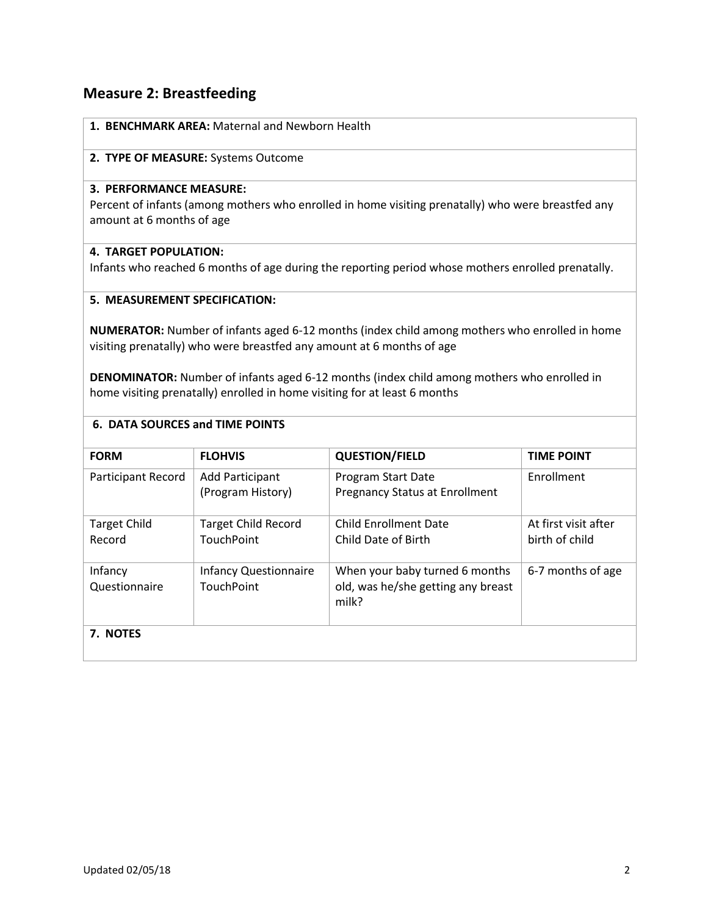## **Measure 2: Breastfeeding**

| 1. BENCHMARK AREA: Maternal and Newborn Health |
|------------------------------------------------|
| 2. TYPE OF MEASURE: Systems Outcome            |

#### **3. PERFORMANCE MEASURE:**

Percent of infants (among mothers who enrolled in home visiting prenatally) who were breastfed any amount at 6 months of age

## **4. TARGET POPULATION:**

Infants who reached 6 months of age during the reporting period whose mothers enrolled prenatally.

### **5. MEASUREMENT SPECIFICATION:**

**NUMERATOR:** Number of infants aged 6-12 months (index child among mothers who enrolled in home visiting prenatally) who were breastfed any amount at 6 months of age

**DENOMINATOR:** Number of infants aged 6-12 months (index child among mothers who enrolled in home visiting prenatally) enrolled in home visiting for at least 6 months

| <b>FORM</b>                   | <b>FLOHVIS</b>                                    | <b>QUESTION/FIELD</b>                                                         | <b>TIME POINT</b>                      |
|-------------------------------|---------------------------------------------------|-------------------------------------------------------------------------------|----------------------------------------|
| Participant Record            | Add Participant<br>(Program History)              | Program Start Date<br><b>Pregnancy Status at Enrollment</b>                   | <b>F</b> nrollment                     |
| <b>Target Child</b><br>Record | <b>Target Child Record</b><br><b>TouchPoint</b>   | <b>Child Enrollment Date</b><br>Child Date of Birth                           | At first visit after<br>birth of child |
| Infancy<br>Questionnaire      | <b>Infancy Questionnaire</b><br><b>TouchPoint</b> | When your baby turned 6 months<br>old, was he/she getting any breast<br>milk? | 6-7 months of age                      |
| 7. NOTES                      |                                                   |                                                                               |                                        |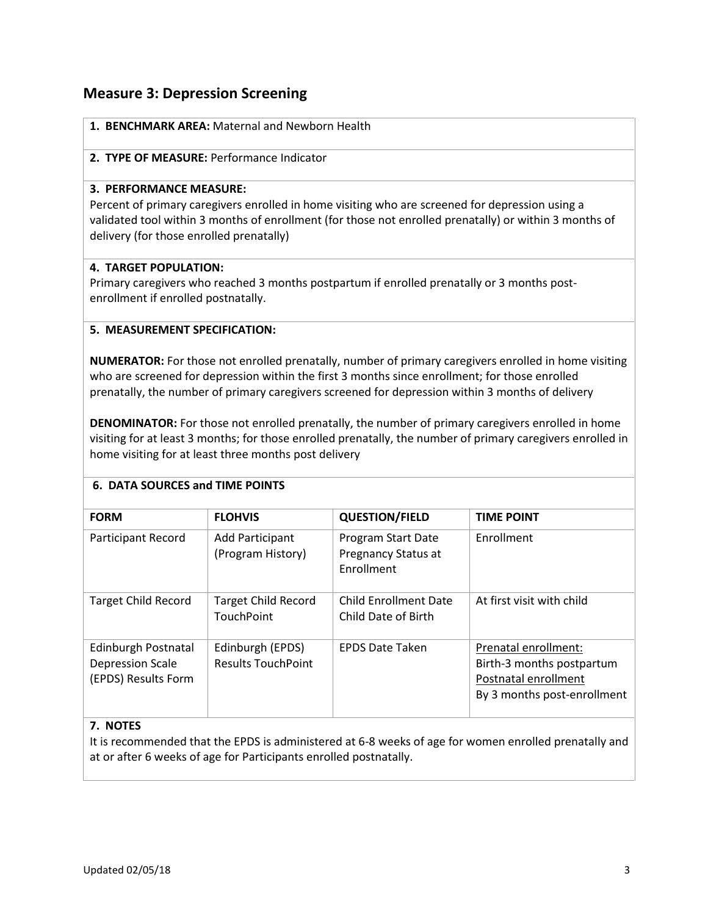## **Measure 3: Depression Screening**

|  |  | 1. BENCHMARK AREA: Maternal and Newborn Health |  |  |
|--|--|------------------------------------------------|--|--|
|--|--|------------------------------------------------|--|--|

#### **2. TYPE OF MEASURE:** Performance Indicator

#### **3. PERFORMANCE MEASURE:**

Percent of primary caregivers enrolled in home visiting who are screened for depression using a validated tool within 3 months of enrollment (for those not enrolled prenatally) or within 3 months of delivery (for those enrolled prenatally)

## **4. TARGET POPULATION:**

Primary caregivers who reached 3 months postpartum if enrolled prenatally or 3 months postenrollment if enrolled postnatally.

## **5. MEASUREMENT SPECIFICATION:**

**NUMERATOR:** For those not enrolled prenatally, number of primary caregivers enrolled in home visiting who are screened for depression within the first 3 months since enrollment; for those enrolled prenatally, the number of primary caregivers screened for depression within 3 months of delivery

**DENOMINATOR:** For those not enrolled prenatally, the number of primary caregivers enrolled in home visiting for at least 3 months; for those enrolled prenatally, the number of primary caregivers enrolled in home visiting for at least three months post delivery

## **6. DATA SOURCES and TIME POINTS**

| <b>FORM</b>                                                           | <b>FLOHVIS</b>                                  | <b>QUESTION/FIELD</b>                                          | <b>TIME POINT</b>                                                                                        |
|-----------------------------------------------------------------------|-------------------------------------------------|----------------------------------------------------------------|----------------------------------------------------------------------------------------------------------|
| Participant Record                                                    | Add Participant<br>(Program History)            | Program Start Date<br>Pregnancy Status at<br><b>Fnrollment</b> | <b>Fnrollment</b>                                                                                        |
| <b>Target Child Record</b>                                            | <b>Target Child Record</b><br><b>TouchPoint</b> | Child Enrollment Date<br>Child Date of Birth                   | At first visit with child                                                                                |
| Edinburgh Postnatal<br><b>Depression Scale</b><br>(EPDS) Results Form | Edinburgh (EPDS)<br><b>Results TouchPoint</b>   | <b>EPDS Date Taken</b>                                         | Prenatal enrollment:<br>Birth-3 months postpartum<br>Postnatal enrollment<br>By 3 months post-enrollment |

## **7. NOTES**

It is recommended that the EPDS is administered at 6-8 weeks of age for women enrolled prenatally and at or after 6 weeks of age for Participants enrolled postnatally.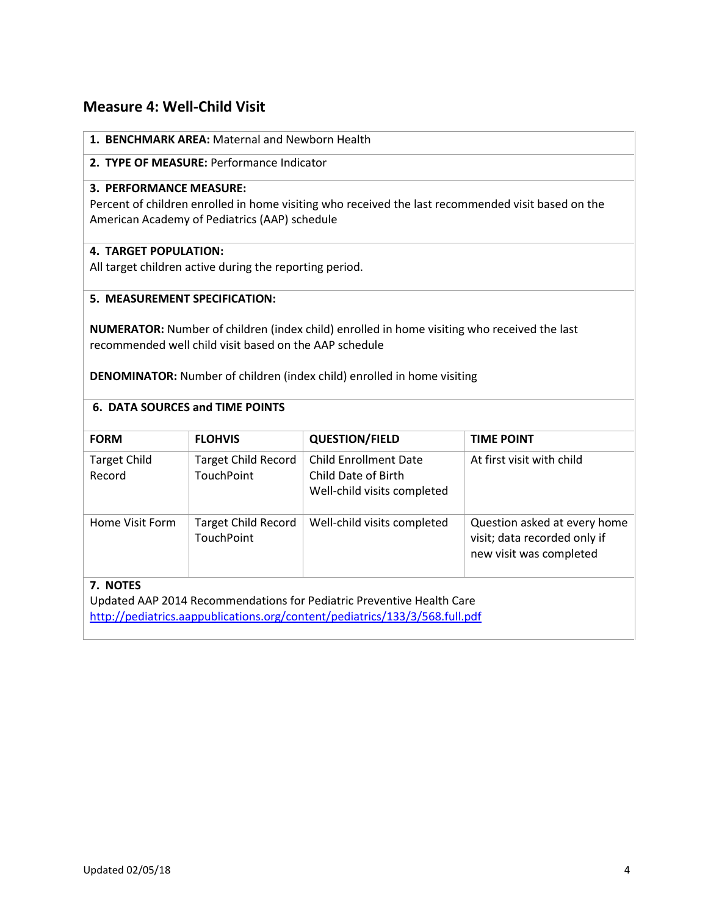## **Measure 4: Well-Child Visit**

## **1. BENCHMARK AREA:** Maternal and Newborn Health

## **2. TYPE OF MEASURE:** Performance Indicator

## **3. PERFORMANCE MEASURE:**

Percent of children enrolled in home visiting who received the last recommended visit based on the American Academy of Pediatrics (AAP) schedule

### **4. TARGET POPULATION:**

All target children active during the reporting period.

## **5. MEASUREMENT SPECIFICATION:**

**NUMERATOR:** Number of children (index child) enrolled in home visiting who received the last recommended well child visit based on the AAP schedule

**DENOMINATOR:** Number of children (index child) enrolled in home visiting

## **6. DATA SOURCES and TIME POINTS**

| <b>FORM</b>                                                                                                                                                                                          | <b>FLOHVIS</b>                                  | <b>QUESTION/FIELD</b>                                                              | <b>TIME POINT</b>                                                                       |  |  |
|------------------------------------------------------------------------------------------------------------------------------------------------------------------------------------------------------|-------------------------------------------------|------------------------------------------------------------------------------------|-----------------------------------------------------------------------------------------|--|--|
| <b>Target Child</b><br>Record                                                                                                                                                                        | <b>Target Child Record</b><br><b>TouchPoint</b> | <b>Child Enrollment Date</b><br>Child Date of Birth<br>Well-child visits completed | At first visit with child                                                               |  |  |
| Home Visit Form                                                                                                                                                                                      | <b>Target Child Record</b><br>TouchPoint        | Well-child visits completed                                                        | Question asked at every home<br>visit; data recorded only if<br>new visit was completed |  |  |
| 7. NOTES<br>Updated AAP 2014 Recommendations for Pediatric Preventive Health Care<br>the University of the Community of the Community of the Community of the Community of the Community of the Comm |                                                 |                                                                                    |                                                                                         |  |  |

<http://pediatrics.aappublications.org/content/pediatrics/133/3/568.full.pdf>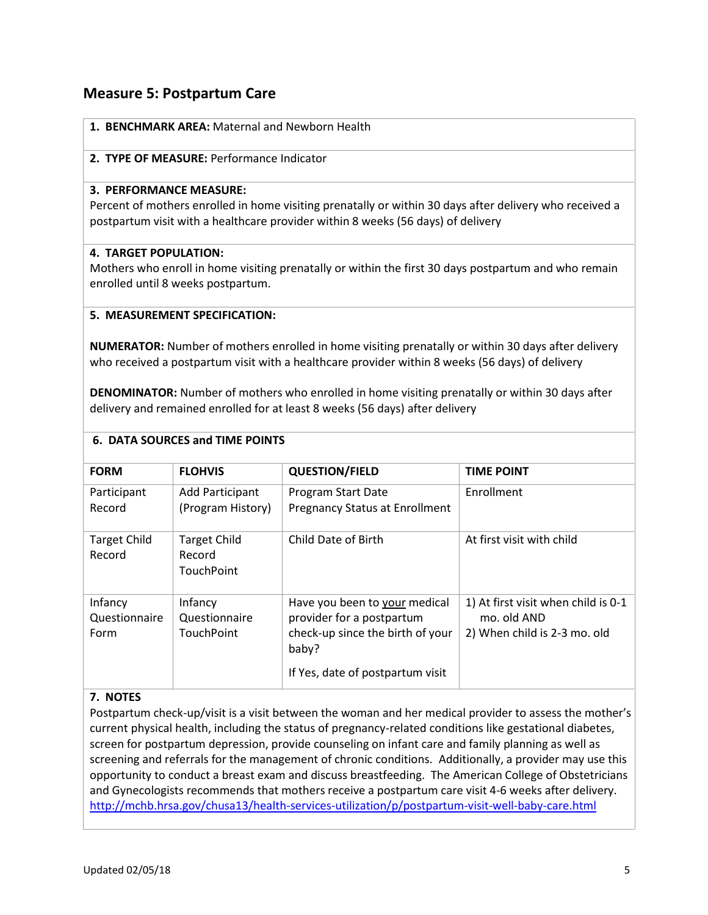## **Measure 5: Postpartum Care**

|  | 1. BENCHMARK AREA: Maternal and Newborn Health |  |  |
|--|------------------------------------------------|--|--|
|--|------------------------------------------------|--|--|

### **2. TYPE OF MEASURE:** Performance Indicator

#### **3. PERFORMANCE MEASURE:**

Percent of mothers enrolled in home visiting prenatally or within 30 days after delivery who received a postpartum visit with a healthcare provider within 8 weeks (56 days) of delivery

#### **4. TARGET POPULATION:**

Mothers who enroll in home visiting prenatally or within the first 30 days postpartum and who remain enrolled until 8 weeks postpartum.

#### **5. MEASUREMENT SPECIFICATION:**

**NUMERATOR:** Number of mothers enrolled in home visiting prenatally or within 30 days after delivery who received a postpartum visit with a healthcare provider within 8 weeks (56 days) of delivery

**DENOMINATOR:** Number of mothers who enrolled in home visiting prenatally or within 30 days after delivery and remained enrolled for at least 8 weeks (56 days) after delivery

## **6. DATA SOURCES and TIME POINTS**

| <b>FORM</b>                      | <b>FLOHVIS</b>                                     | <b>QUESTION/FIELD</b>                                                                                                                       | <b>TIME POINT</b>                                                                  |
|----------------------------------|----------------------------------------------------|---------------------------------------------------------------------------------------------------------------------------------------------|------------------------------------------------------------------------------------|
| Participant<br>Record            | Add Participant<br>(Program History)               | Program Start Date<br><b>Pregnancy Status at Enrollment</b>                                                                                 | Enrollment                                                                         |
| <b>Target Child</b><br>Record    | <b>Target Child</b><br>Record<br><b>TouchPoint</b> | Child Date of Birth                                                                                                                         | At first visit with child                                                          |
| Infancy<br>Questionnaire<br>Form | Infancy<br>Questionnaire<br><b>TouchPoint</b>      | Have you been to your medical<br>provider for a postpartum<br>check-up since the birth of your<br>baby?<br>If Yes, date of postpartum visit | 1) At first visit when child is 0-1<br>mo. old AND<br>2) When child is 2-3 mo. old |

## **7. NOTES**

Postpartum check-up/visit is a visit between the woman and her medical provider to assess the mother's current physical health, including the status of pregnancy-related conditions like gestational diabetes, screen for postpartum depression, provide counseling on infant care and family planning as well as screening and referrals for the management of chronic conditions. Additionally, a provider may use this opportunity to conduct a breast exam and discuss breastfeeding. The American College of Obstetricians and Gynecologists recommends that mothers receive a postpartum care visit 4-6 weeks after delivery. <http://mchb.hrsa.gov/chusa13/health-services-utilization/p/postpartum-visit-well-baby-care.html>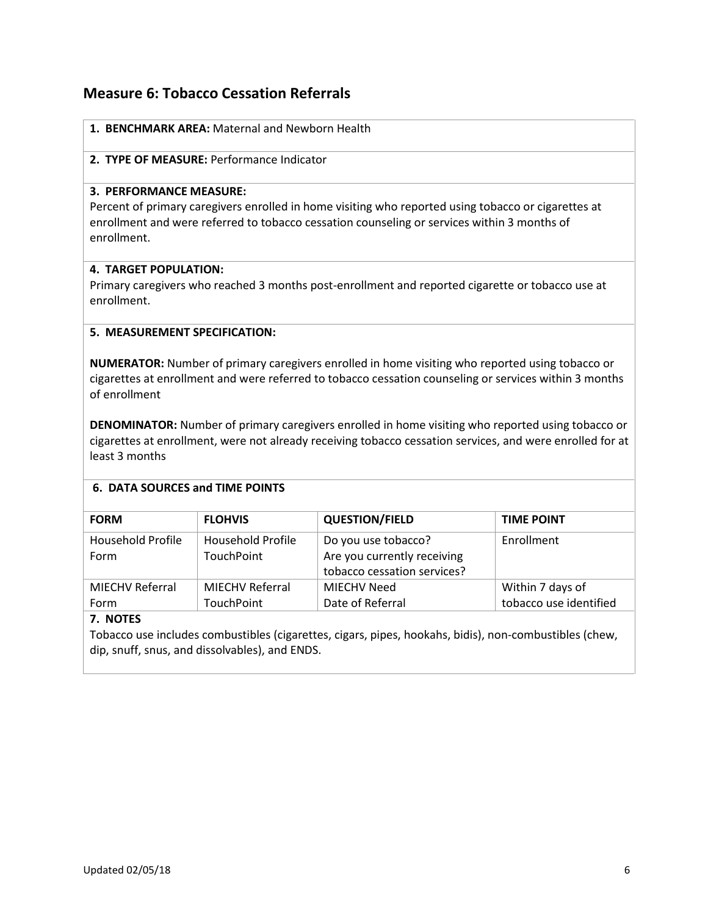## **Measure 6: Tobacco Cessation Referrals**

|  | 1. BENCHMARK AREA: Maternal and Newborn Health |  |  |  |  |  |
|--|------------------------------------------------|--|--|--|--|--|
|--|------------------------------------------------|--|--|--|--|--|

### **2. TYPE OF MEASURE:** Performance Indicator

### **3. PERFORMANCE MEASURE:**

Percent of primary caregivers enrolled in home visiting who reported using tobacco or cigarettes at enrollment and were referred to tobacco cessation counseling or services within 3 months of enrollment.

## **4. TARGET POPULATION:**

Primary caregivers who reached 3 months post-enrollment and reported cigarette or tobacco use at enrollment.

## **5. MEASUREMENT SPECIFICATION:**

**NUMERATOR:** Number of primary caregivers enrolled in home visiting who reported using tobacco or cigarettes at enrollment and were referred to tobacco cessation counseling or services within 3 months of enrollment

**DENOMINATOR:** Number of primary caregivers enrolled in home visiting who reported using tobacco or cigarettes at enrollment, were not already receiving tobacco cessation services, and were enrolled for at least 3 months

## **6. DATA SOURCES and TIME POINTS**

| <b>FORM</b>            | <b>FLOHVIS</b>         | <b>QUESTION/FIELD</b>       | <b>TIME POINT</b>      |
|------------------------|------------------------|-----------------------------|------------------------|
| Household Profile      | Household Profile      | Do you use tobacco?         | Enrollment             |
| Form                   | <b>TouchPoint</b>      | Are you currently receiving |                        |
|                        |                        | tobacco cessation services? |                        |
| <b>MIECHV Referral</b> | <b>MIECHV Referral</b> | MIECHV Need                 | Within 7 days of       |
| Form                   | TouchPoint             | Date of Referral            | tobacco use identified |
|                        |                        |                             |                        |

## **7. NOTES**

Tobacco use includes combustibles (cigarettes, cigars, pipes, hookahs, bidis), non-combustibles (chew, dip, snuff, snus, and dissolvables), and ENDS.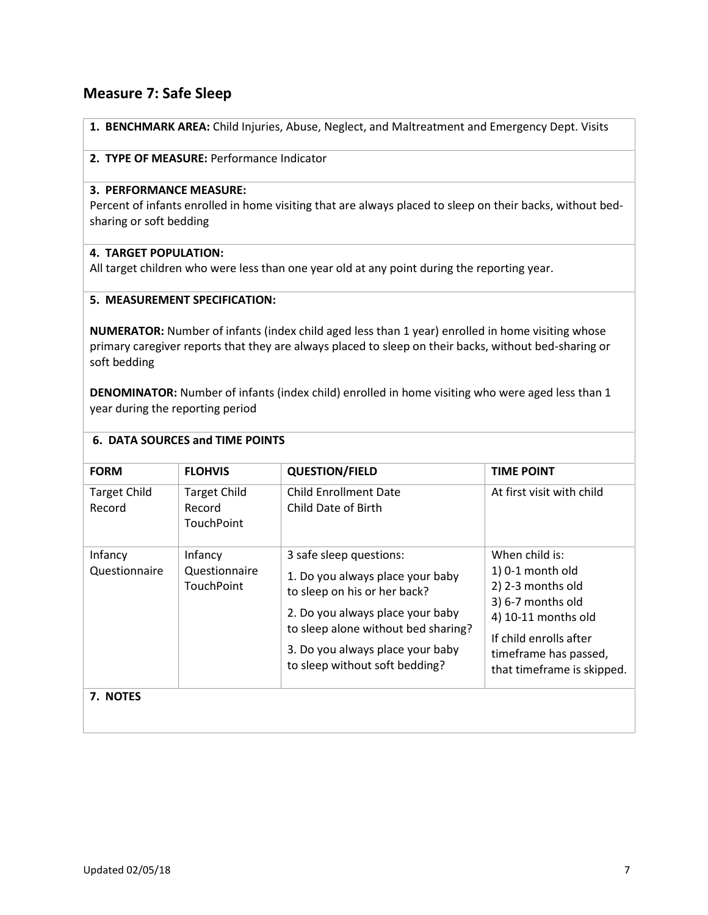## **Measure 7: Safe Sleep**

**1. BENCHMARK AREA:** Child Injuries, Abuse, Neglect, and Maltreatment and Emergency Dept. Visits

#### **2. TYPE OF MEASURE:** Performance Indicator

#### **3. PERFORMANCE MEASURE:**

Percent of infants enrolled in home visiting that are always placed to sleep on their backs, without bedsharing or soft bedding

#### **4. TARGET POPULATION:**

All target children who were less than one year old at any point during the reporting year.

#### **5. MEASUREMENT SPECIFICATION:**

**NUMERATOR:** Number of infants (index child aged less than 1 year) enrolled in home visiting whose primary caregiver reports that they are always placed to sleep on their backs, without bed-sharing or soft bedding

**DENOMINATOR:** Number of infants (index child) enrolled in home visiting who were aged less than 1 year during the reporting period

| <b>FORM</b>                   | <b>FLOHVIS</b>                                     | <b>QUESTION/FIELD</b>                                                                                                                                                                                                                        | <b>TIME POINT</b>                                                                                                                                                                    |
|-------------------------------|----------------------------------------------------|----------------------------------------------------------------------------------------------------------------------------------------------------------------------------------------------------------------------------------------------|--------------------------------------------------------------------------------------------------------------------------------------------------------------------------------------|
| <b>Target Child</b><br>Record | <b>Target Child</b><br>Record<br><b>TouchPoint</b> | <b>Child Enrollment Date</b><br>Child Date of Birth                                                                                                                                                                                          | At first visit with child                                                                                                                                                            |
| Infancy<br>Questionnaire      | Infancy<br>Questionnaire<br>TouchPoint             | 3 safe sleep questions:<br>1. Do you always place your baby<br>to sleep on his or her back?<br>2. Do you always place your baby<br>to sleep alone without bed sharing?<br>3. Do you always place your baby<br>to sleep without soft bedding? | When child is:<br>1) 0-1 month old<br>2) 2-3 months old<br>3) 6-7 months old<br>4) 10-11 months old<br>If child enrolls after<br>timeframe has passed,<br>that timeframe is skipped. |
| 7. NOTES                      |                                                    |                                                                                                                                                                                                                                              |                                                                                                                                                                                      |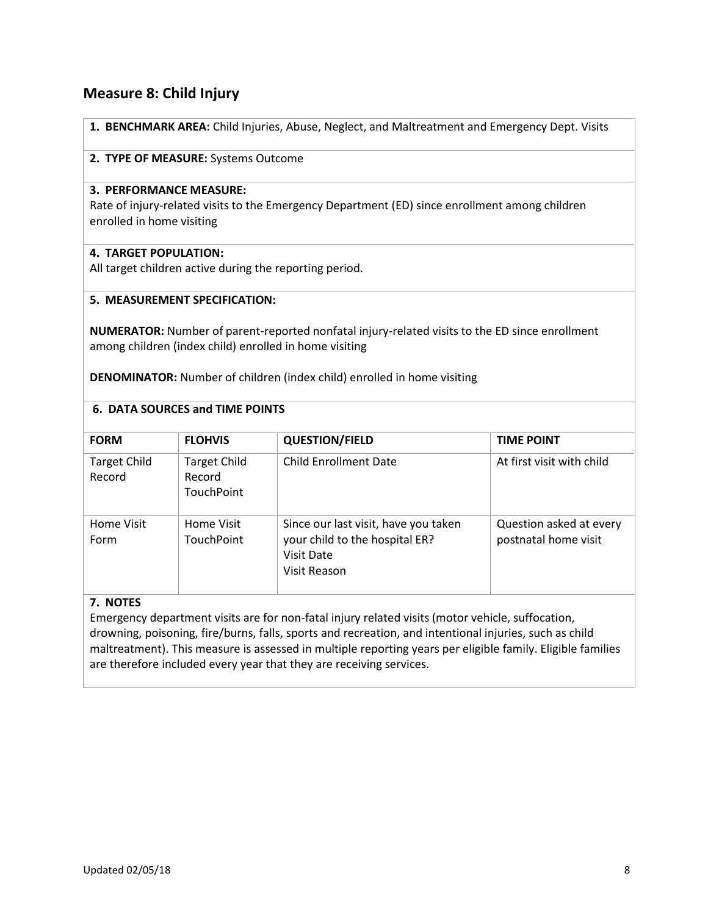## **Measure 8: Child Injury**

**1. BENCHMARK AREA:** Child Injuries, Abuse, Neglect, and Maltreatment and Emergency Dept. Visits

#### **2. TYPE OF MEASURE:** Systems Outcome

#### **3. PERFORMANCE MEASURE:**

Rate of injury-related visits to the Emergency Department (ED) since enrollment among children enrolled in home visiting

## **4. TARGET POPULATION:**

All target children active during the reporting period.

#### **5. MEASUREMENT SPECIFICATION:**

**NUMERATOR:** Number of parent-reported nonfatal injury-related visits to the ED since enrollment among children (index child) enrolled in home visiting

**DENOMINATOR:** Number of children (index child) enrolled in home visiting

#### **6. DATA SOURCES and TIME POINTS**

| <b>FORM</b>                   | <b>FLOHVIS</b>                                     | <b>QUESTION/FIELD</b>                                                                                       | <b>TIME POINT</b>                               |
|-------------------------------|----------------------------------------------------|-------------------------------------------------------------------------------------------------------------|-------------------------------------------------|
| <b>Target Child</b><br>Record | <b>Target Child</b><br>Record<br><b>TouchPoint</b> | <b>Child Enrollment Date</b>                                                                                | At first visit with child                       |
| Home Visit<br>Form            | Home Visit<br><b>TouchPoint</b>                    | Since our last visit, have you taken<br>your child to the hospital ER?<br><b>Visit Date</b><br>Visit Reason | Question asked at every<br>postnatal home visit |

#### **7. NOTES**

Emergency department visits are for non-fatal injury related visits (motor vehicle, suffocation, drowning, poisoning, fire/burns, falls, sports and recreation, and intentional injuries, such as child maltreatment). This measure is assessed in multiple reporting years per eligible family. Eligible families are therefore included every year that they are receiving services.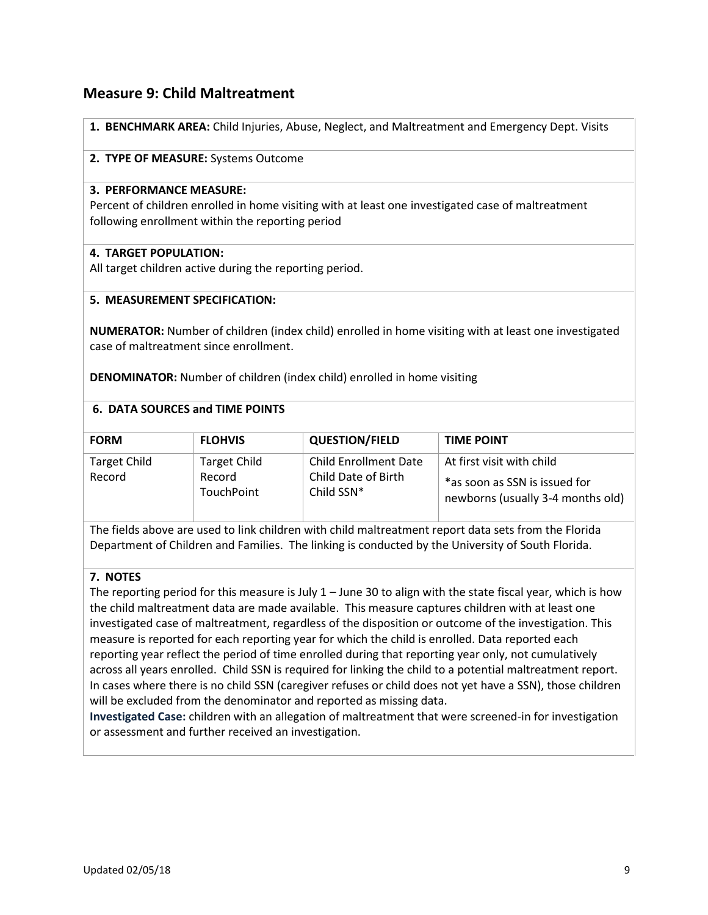## **Measure 9: Child Maltreatment**

**1. BENCHMARK AREA:** Child Injuries, Abuse, Neglect, and Maltreatment and Emergency Dept. Visits

#### **2. TYPE OF MEASURE:** Systems Outcome

#### **3. PERFORMANCE MEASURE:**

Percent of children enrolled in home visiting with at least one investigated case of maltreatment following enrollment within the reporting period

#### **4. TARGET POPULATION:**

All target children active during the reporting period.

#### **5. MEASUREMENT SPECIFICATION:**

**NUMERATOR:** Number of children (index child) enrolled in home visiting with at least one investigated case of maltreatment since enrollment.

**DENOMINATOR:** Number of children (index child) enrolled in home visiting

#### **6. DATA SOURCES and TIME POINTS**

| <b>FORM</b>                   | <b>FLOHVIS</b>                                     | <b>QUESTION/FIELD</b>                                             | <b>TIME POINT</b>                                                                               |
|-------------------------------|----------------------------------------------------|-------------------------------------------------------------------|-------------------------------------------------------------------------------------------------|
| <b>Target Child</b><br>Record | <b>Target Child</b><br>Record<br><b>TouchPoint</b> | <b>Child Enrollment Date</b><br>Child Date of Birth<br>Child SSN* | At first visit with child<br>*as soon as SSN is issued for<br>newborns (usually 3-4 months old) |

The fields above are used to link children with child maltreatment report data sets from the Florida Department of Children and Families. The linking is conducted by the University of South Florida.

## **7. NOTES**

The reporting period for this measure is July  $1 -$  June 30 to align with the state fiscal year, which is how the child maltreatment data are made available. This measure captures children with at least one investigated case of maltreatment, regardless of the disposition or outcome of the investigation. This measure is reported for each reporting year for which the child is enrolled. Data reported each reporting year reflect the period of time enrolled during that reporting year only, not cumulatively across all years enrolled. Child SSN is required for linking the child to a potential maltreatment report. In cases where there is no child SSN (caregiver refuses or child does not yet have a SSN), those children will be excluded from the denominator and reported as missing data.

**Investigated Case:** children with an allegation of maltreatment that were screened-in for investigation or assessment and further received an investigation.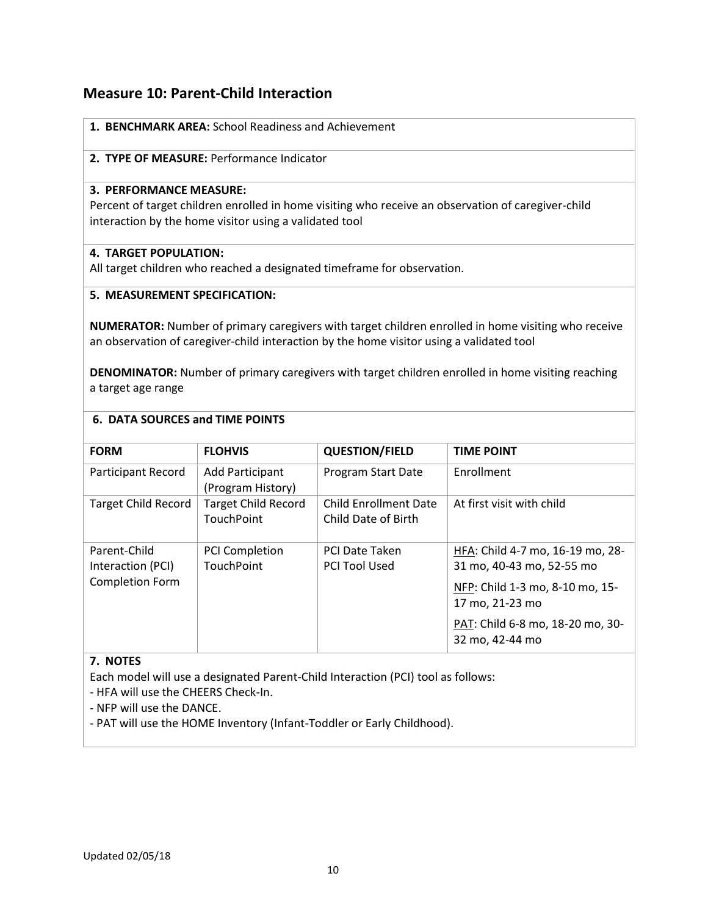## **Measure 10: Parent-Child Interaction**

|  |  |  |  | 1. BENCHMARK AREA: School Readiness and Achievement |
|--|--|--|--|-----------------------------------------------------|
|--|--|--|--|-----------------------------------------------------|

### **2. TYPE OF MEASURE:** Performance Indicator

#### **3. PERFORMANCE MEASURE:**

Percent of target children enrolled in home visiting who receive an observation of caregiver-child interaction by the home visitor using a validated tool

#### **4. TARGET POPULATION:**

All target children who reached a designated timeframe for observation.

## **5. MEASUREMENT SPECIFICATION:**

**NUMERATOR:** Number of primary caregivers with target children enrolled in home visiting who receive an observation of caregiver-child interaction by the home visitor using a validated tool

**DENOMINATOR:** Number of primary caregivers with target children enrolled in home visiting reaching a target age range

### **6. DATA SOURCES and TIME POINTS**

| <b>FORM</b>                       | <b>FLOHVIS</b>                                  | <b>QUESTION/FIELD</b>                               | <b>TIME POINT</b>                                             |
|-----------------------------------|-------------------------------------------------|-----------------------------------------------------|---------------------------------------------------------------|
| <b>Participant Record</b>         | <b>Add Participant</b><br>(Program History)     | Program Start Date                                  | Enrollment                                                    |
| <b>Target Child Record</b>        | <b>Target Child Record</b><br><b>TouchPoint</b> | <b>Child Enrollment Date</b><br>Child Date of Birth | At first visit with child                                     |
| Parent-Child<br>Interaction (PCI) | <b>PCI Completion</b><br><b>TouchPoint</b>      | <b>PCI Date Taken</b><br><b>PCI Tool Used</b>       | HFA: Child 4-7 mo, 16-19 mo, 28-<br>31 mo, 40-43 mo, 52-55 mo |
| <b>Completion Form</b>            |                                                 |                                                     | NFP: Child 1-3 mo, 8-10 mo, 15-<br>17 mo, 21-23 mo            |
|                                   |                                                 |                                                     | PAT: Child 6-8 mo, 18-20 mo, 30-<br>32 mo, 42-44 mo           |

#### **7. NOTES**

Each model will use a designated Parent-Child Interaction (PCI) tool as follows:

- HFA will use the CHEERS Check-In.

- NFP will use the DANCE.

- PAT will use the HOME Inventory (Infant-Toddler or Early Childhood).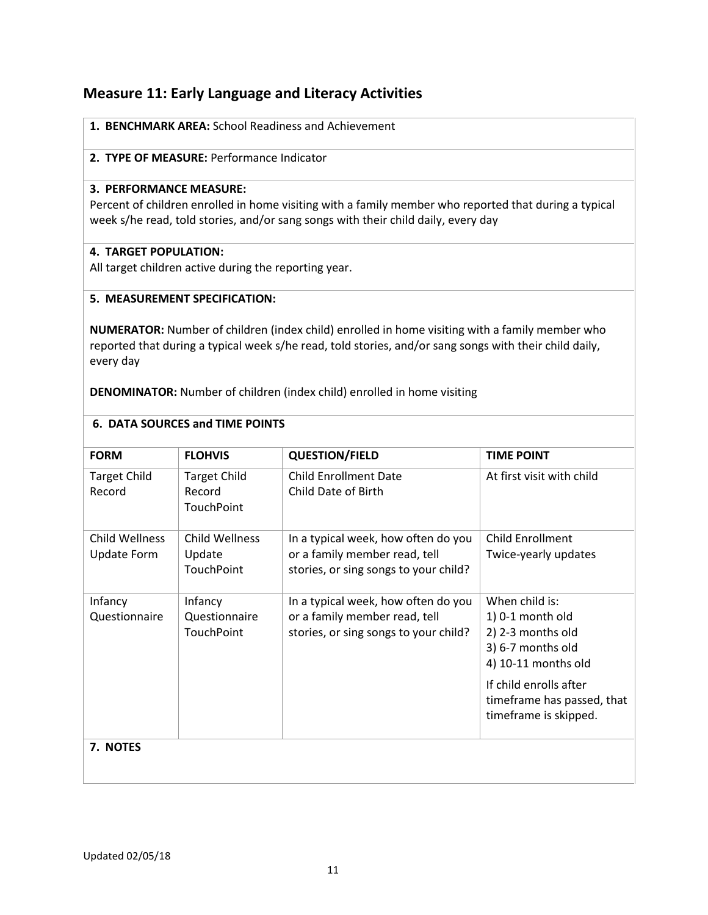## **Measure 11: Early Language and Literacy Activities**

| 1. BENCHMARK AREA: School Readiness and Achievement |  |
|-----------------------------------------------------|--|
|-----------------------------------------------------|--|

## **2. TYPE OF MEASURE:** Performance Indicator

#### **3. PERFORMANCE MEASURE:**

Percent of children enrolled in home visiting with a family member who reported that during a typical week s/he read, told stories, and/or sang songs with their child daily, every day

### **4. TARGET POPULATION:**

All target children active during the reporting year.

#### **5. MEASUREMENT SPECIFICATION:**

**NUMERATOR:** Number of children (index child) enrolled in home visiting with a family member who reported that during a typical week s/he read, told stories, and/or sang songs with their child daily, every day

**DENOMINATOR:** Number of children (index child) enrolled in home visiting

| <b>FORM</b>                          | <b>FLOHVIS</b>                              | <b>QUESTION/FIELD</b>                                                                                         | <b>TIME POINT</b>                                                                                                                                                                    |
|--------------------------------------|---------------------------------------------|---------------------------------------------------------------------------------------------------------------|--------------------------------------------------------------------------------------------------------------------------------------------------------------------------------------|
| <b>Target Child</b><br>Record        | <b>Target Child</b><br>Record<br>TouchPoint | <b>Child Enrollment Date</b><br>Child Date of Birth                                                           | At first visit with child                                                                                                                                                            |
| Child Wellness<br><b>Update Form</b> | Child Wellness<br>Update<br>TouchPoint      | In a typical week, how often do you<br>or a family member read, tell<br>stories, or sing songs to your child? | <b>Child Enrollment</b><br>Twice-yearly updates                                                                                                                                      |
| Infancy<br>Questionnaire             | Infancy<br>Questionnaire<br>TouchPoint      | In a typical week, how often do you<br>or a family member read, tell<br>stories, or sing songs to your child? | When child is:<br>1) 0-1 month old<br>2) 2-3 months old<br>3) 6-7 months old<br>4) 10-11 months old<br>If child enrolls after<br>timeframe has passed, that<br>timeframe is skipped. |
| 7. NOTES                             |                                             |                                                                                                               |                                                                                                                                                                                      |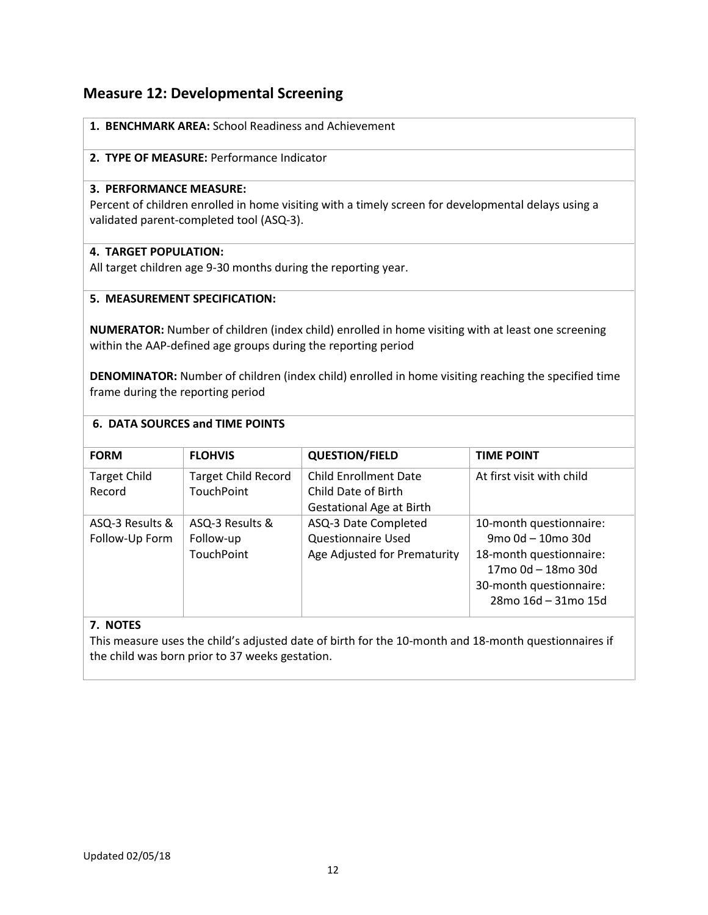## **Measure 12: Developmental Screening**

| 1. BENCHMARK AREA: School Readiness and Achievement |
|-----------------------------------------------------|
| 2. TYPE OF MEASURE: Performance Indicator           |

## **3. PERFORMANCE MEASURE:**

Percent of children enrolled in home visiting with a timely screen for developmental delays using a validated parent-completed tool (ASQ-3).

## **4. TARGET POPULATION:**

All target children age 9-30 months during the reporting year.

#### **5. MEASUREMENT SPECIFICATION:**

**NUMERATOR:** Number of children (index child) enrolled in home visiting with at least one screening within the AAP-defined age groups during the reporting period

**DENOMINATOR:** Number of children (index child) enrolled in home visiting reaching the specified time frame during the reporting period

#### **6. DATA SOURCES and TIME POINTS**

| <b>FORM</b>                   | <b>FLOHVIS</b>                                  | <b>QUESTION/FIELD</b>                               | <b>TIME POINT</b>                                                                               |
|-------------------------------|-------------------------------------------------|-----------------------------------------------------|-------------------------------------------------------------------------------------------------|
| <b>Target Child</b><br>Record | <b>Target Child Record</b><br><b>TouchPoint</b> | <b>Child Enrollment Date</b><br>Child Date of Birth | At first visit with child                                                                       |
| ASQ-3 Results &               | ASQ-3 Results &                                 | Gestational Age at Birth<br>ASQ-3 Date Completed    | 10-month questionnaire:                                                                         |
| Follow-Up Form                | Follow-up                                       | <b>Questionnaire Used</b>                           | $9 \text{mo}$ $0 \text{d} - 10 \text{mo}$ 30d                                                   |
|                               | <b>TouchPoint</b>                               | Age Adjusted for Prematurity                        | 18-month questionnaire:<br>17mo 0d - 18mo 30d<br>30-month questionnaire:<br>28mo 16d - 31mo 15d |

## **7. NOTES**

This measure uses the child's adjusted date of birth for the 10-month and 18-month questionnaires if the child was born prior to 37 weeks gestation.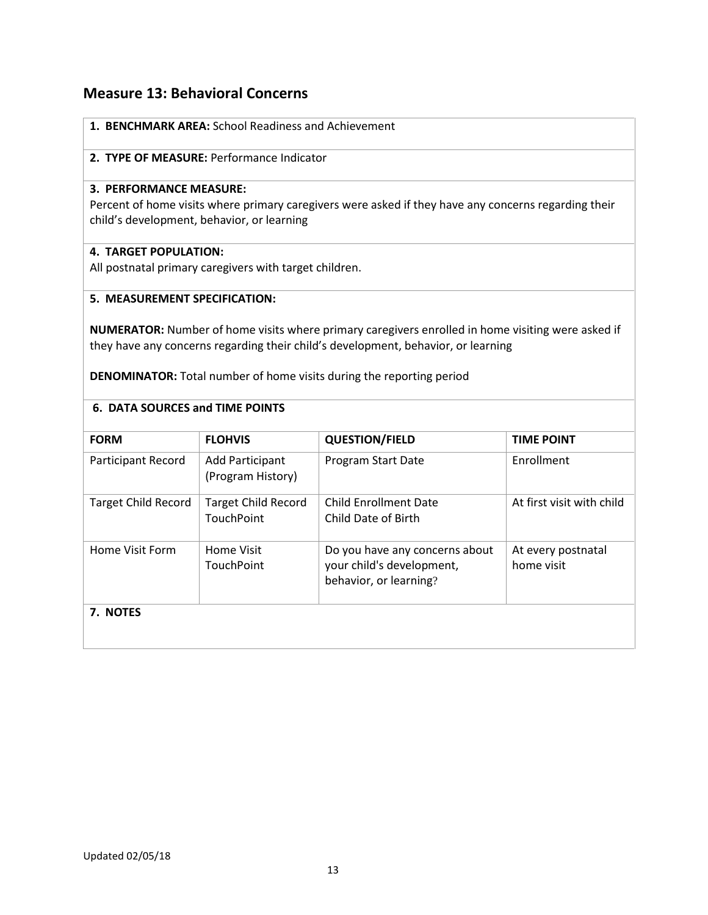## **Measure 13: Behavioral Concerns**

| 1. BENCHMARK AREA: School Readiness and Achievement                                    |                                                        |                                                                                                      |                           |  |  |
|----------------------------------------------------------------------------------------|--------------------------------------------------------|------------------------------------------------------------------------------------------------------|---------------------------|--|--|
|                                                                                        | 2. TYPE OF MEASURE: Performance Indicator              |                                                                                                      |                           |  |  |
| 3. PERFORMANCE MEASURE:                                                                |                                                        |                                                                                                      |                           |  |  |
|                                                                                        |                                                        | Percent of home visits where primary caregivers were asked if they have any concerns regarding their |                           |  |  |
|                                                                                        | child's development, behavior, or learning             |                                                                                                      |                           |  |  |
| <b>4. TARGET POPULATION:</b>                                                           |                                                        |                                                                                                      |                           |  |  |
|                                                                                        | All postnatal primary caregivers with target children. |                                                                                                      |                           |  |  |
| 5. MEASUREMENT SPECIFICATION:                                                          |                                                        |                                                                                                      |                           |  |  |
|                                                                                        |                                                        | NUMERATOR: Number of home visits where primary caregivers enrolled in home visiting were asked if    |                           |  |  |
|                                                                                        |                                                        | they have any concerns regarding their child's development, behavior, or learning                    |                           |  |  |
|                                                                                        |                                                        | <b>DENOMINATOR:</b> Total number of home visits during the reporting period                          |                           |  |  |
|                                                                                        |                                                        |                                                                                                      |                           |  |  |
| <b>6. DATA SOURCES and TIME POINTS</b>                                                 |                                                        |                                                                                                      |                           |  |  |
| <b>FORM</b>                                                                            | <b>FLOHVIS</b>                                         | <b>QUESTION/FIELD</b>                                                                                | <b>TIME POINT</b>         |  |  |
| Participant Record                                                                     | <b>Add Participant</b><br>(Program History)            | Program Start Date                                                                                   | Enrollment                |  |  |
| <b>Target Child Record</b>                                                             | <b>Target Child Record</b>                             | <b>Child Enrollment Date</b>                                                                         | At first visit with child |  |  |
|                                                                                        | <b>TouchPoint</b>                                      | Child Date of Birth                                                                                  |                           |  |  |
| Home Visit Form                                                                        | <b>Home Visit</b>                                      | Do you have any concerns about                                                                       | At every postnatal        |  |  |
| your child's development,<br>home visit<br><b>TouchPoint</b><br>behavior, or learning? |                                                        |                                                                                                      |                           |  |  |
| 7. NOTES                                                                               |                                                        |                                                                                                      |                           |  |  |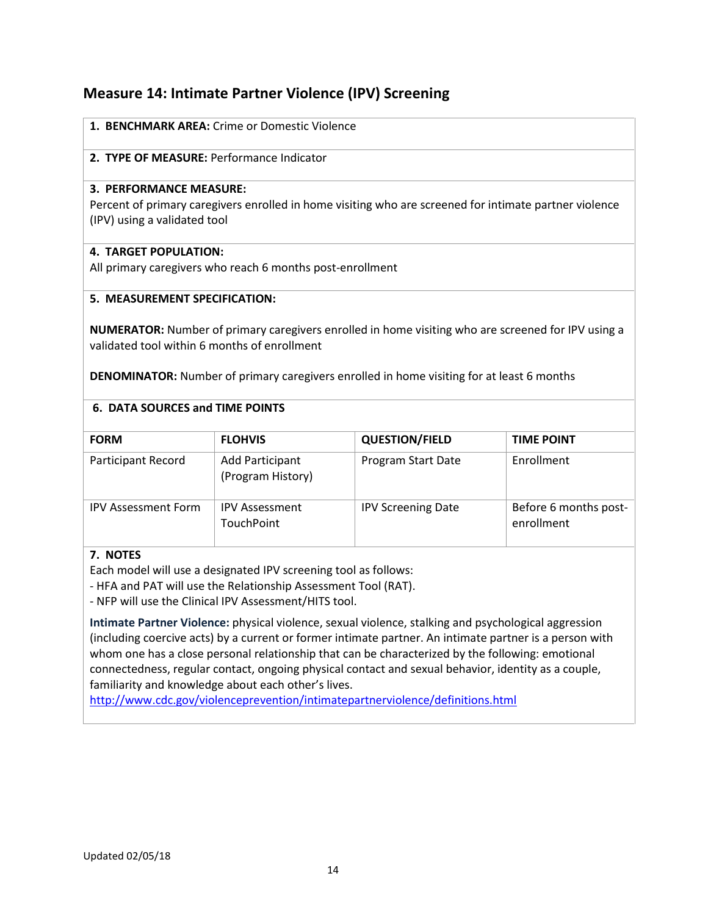## **Measure 14: Intimate Partner Violence (IPV) Screening**

| 1. BENCHMARK AREA: Crime or Domestic Violence                                                          |
|--------------------------------------------------------------------------------------------------------|
| 2. TYPE OF MEASURE: Performance Indicator                                                              |
| 3. PERFORMANCE MEASURE:                                                                                |
| Percent of primary caregivers enrolled in home visiting who are screened for intimate partner violence |
| (IPV) using a validated tool                                                                           |

## **4. TARGET POPULATION:**

All primary caregivers who reach 6 months post-enrollment

#### **5. MEASUREMENT SPECIFICATION:**

**NUMERATOR:** Number of primary caregivers enrolled in home visiting who are screened for IPV using a validated tool within 6 months of enrollment

**DENOMINATOR:** Number of primary caregivers enrolled in home visiting for at least 6 months

#### **6. DATA SOURCES and TIME POINTS**

| <b>FORM</b>                | <b>FLOHVIS</b>                             | <b>QUESTION/FIELD</b>     | <b>TIME POINT</b>                   |
|----------------------------|--------------------------------------------|---------------------------|-------------------------------------|
| Participant Record         | Add Participant<br>(Program History)       | Program Start Date        | Enrollment                          |
| <b>IPV Assessment Form</b> | <b>IPV Assessment</b><br><b>TouchPoint</b> | <b>IPV Screening Date</b> | Before 6 months post-<br>enrollment |

## **7. NOTES**

Each model will use a designated IPV screening tool as follows:

- HFA and PAT will use the Relationship Assessment Tool (RAT).

- NFP will use the Clinical IPV Assessment/HITS tool.

**Intimate Partner Violence:** physical violence, sexual violence, stalking and psychological aggression (including coercive acts) by a current or former intimate partner. An intimate partner is a person with whom one has a close personal relationship that can be characterized by the following: emotional connectedness, regular contact, ongoing physical contact and sexual behavior, identity as a couple, familiarity and knowledge about each other's lives.

<http://www.cdc.gov/violenceprevention/intimatepartnerviolence/definitions.html>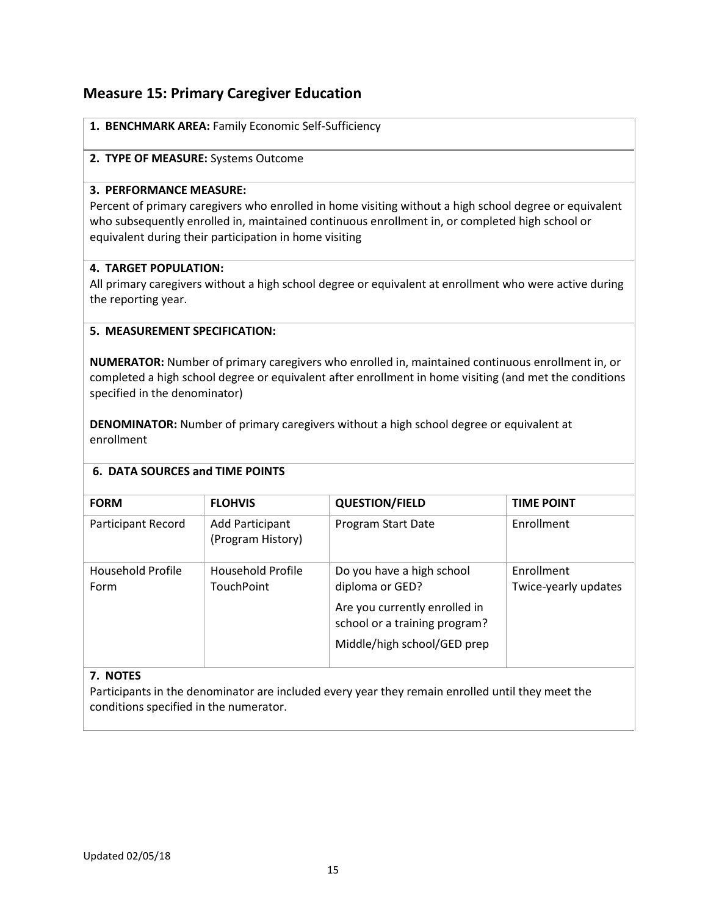## **Measure 15: Primary Caregiver Education**

|  |  |  | 1. BENCHMARK AREA: Family Economic Self-Sufficiency |
|--|--|--|-----------------------------------------------------|
|--|--|--|-----------------------------------------------------|

#### **2. TYPE OF MEASURE:** Systems Outcome

#### **3. PERFORMANCE MEASURE:**

Percent of primary caregivers who enrolled in home visiting without a high school degree or equivalent who subsequently enrolled in, maintained continuous enrollment in, or completed high school or equivalent during their participation in home visiting

## **4. TARGET POPULATION:**

All primary caregivers without a high school degree or equivalent at enrollment who were active during the reporting year.

## **5. MEASUREMENT SPECIFICATION:**

**NUMERATOR:** Number of primary caregivers who enrolled in, maintained continuous enrollment in, or completed a high school degree or equivalent after enrollment in home visiting (and met the conditions specified in the denominator)

**DENOMINATOR:** Number of primary caregivers without a high school degree or equivalent at enrollment

## **6. DATA SOURCES and TIME POINTS**

| <b>FORM</b>               | <b>FLOHVIS</b>                              | <b>QUESTION/FIELD</b>                                                                                                                         | <b>TIME POINT</b>                         |
|---------------------------|---------------------------------------------|-----------------------------------------------------------------------------------------------------------------------------------------------|-------------------------------------------|
| <b>Participant Record</b> | <b>Add Participant</b><br>(Program History) | Program Start Date                                                                                                                            | Enrollment                                |
| Household Profile<br>Form | Household Profile<br><b>TouchPoint</b>      | Do you have a high school<br>diploma or GED?<br>Are you currently enrolled in<br>school or a training program?<br>Middle/high school/GED prep | <b>Fnrollment</b><br>Twice-yearly updates |

## **7. NOTES**

Participants in the denominator are included every year they remain enrolled until they meet the conditions specified in the numerator.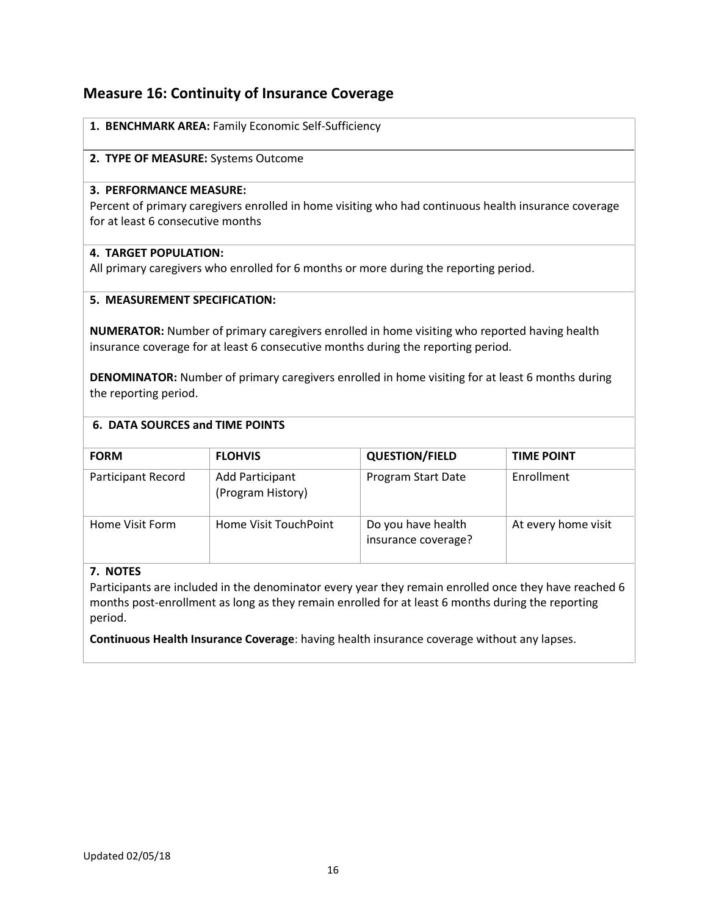## **Measure 16: Continuity of Insurance Coverage**

| 1. BENCHMARK AREA: Family Economic Self-Sufficiency                                                                                                                         |
|-----------------------------------------------------------------------------------------------------------------------------------------------------------------------------|
| 2. TYPE OF MEASURE: Systems Outcome                                                                                                                                         |
| <b>3. PERFORMANCE MEASURE:</b><br>Percent of primary caregivers enrolled in home visiting who had continuous health insurance coverage<br>for at least 6 consecutive months |

#### **4. TARGET POPULATION:**

All primary caregivers who enrolled for 6 months or more during the reporting period.

### **5. MEASUREMENT SPECIFICATION:**

**NUMERATOR:** Number of primary caregivers enrolled in home visiting who reported having health insurance coverage for at least 6 consecutive months during the reporting period.

**DENOMINATOR:** Number of primary caregivers enrolled in home visiting for at least 6 months during the reporting period.

#### **6. DATA SOURCES and TIME POINTS**

| <b>FORM</b>        | <b>FLOHVIS</b>                       | <b>QUESTION/FIELD</b>                     | <b>TIME POINT</b>   |  |  |
|--------------------|--------------------------------------|-------------------------------------------|---------------------|--|--|
| Participant Record | Add Participant<br>(Program History) | Program Start Date                        | Enrollment          |  |  |
| Home Visit Form    | Home Visit TouchPoint                | Do you have health<br>insurance coverage? | At every home visit |  |  |

## **7. NOTES**

Participants are included in the denominator every year they remain enrolled once they have reached 6 months post-enrollment as long as they remain enrolled for at least 6 months during the reporting period.

**Continuous Health Insurance Coverage**: having health insurance coverage without any lapses.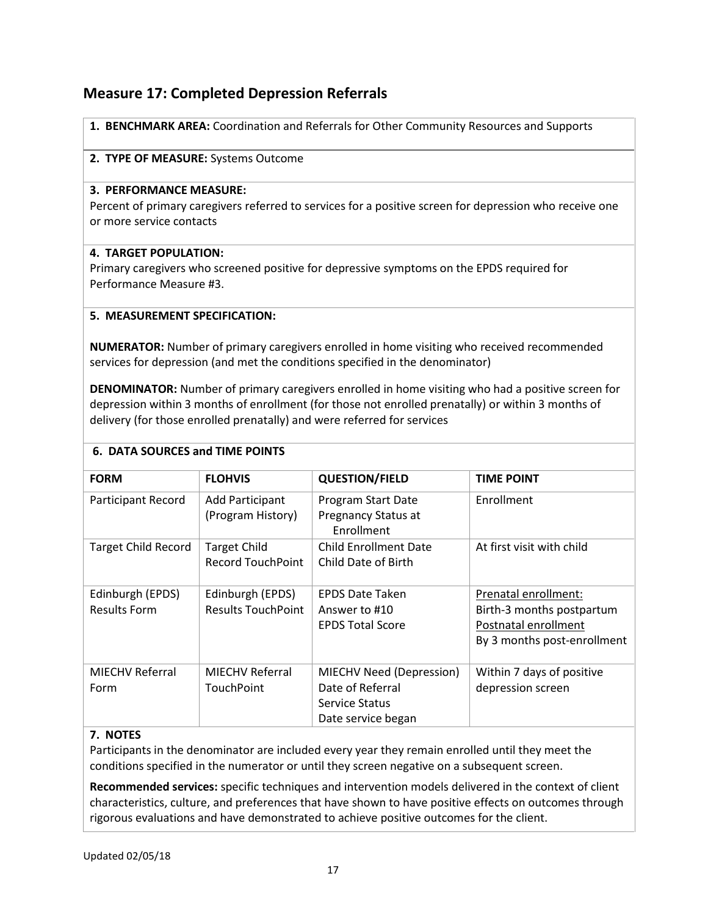## **Measure 17: Completed Depression Referrals**

**1. BENCHMARK AREA:** Coordination and Referrals for Other Community Resources and Supports

### **2. TYPE OF MEASURE:** Systems Outcome

#### **3. PERFORMANCE MEASURE:**

Percent of primary caregivers referred to services for a positive screen for depression who receive one or more service contacts

#### **4. TARGET POPULATION:**

Primary caregivers who screened positive for depressive symptoms on the EPDS required for Performance Measure #3.

## **5. MEASUREMENT SPECIFICATION:**

**NUMERATOR:** Number of primary caregivers enrolled in home visiting who received recommended services for depression (and met the conditions specified in the denominator)

**DENOMINATOR:** Number of primary caregivers enrolled in home visiting who had a positive screen for depression within 3 months of enrollment (for those not enrolled prenatally) or within 3 months of delivery (for those enrolled prenatally) and were referred for services

## **6. DATA SOURCES and TIME POINTS**

| <b>FORM</b>                | <b>FLOHVIS</b>            | <b>QUESTION/FIELD</b>    | <b>TIME POINT</b>           |
|----------------------------|---------------------------|--------------------------|-----------------------------|
| Participant Record         | <b>Add Participant</b>    | Program Start Date       | Enrollment                  |
|                            | (Program History)         | Pregnancy Status at      |                             |
|                            |                           | Enrollment               |                             |
| <b>Target Child Record</b> | <b>Target Child</b>       | Child Enrollment Date    | At first visit with child   |
|                            | <b>Record TouchPoint</b>  | Child Date of Birth      |                             |
|                            |                           |                          |                             |
| Edinburgh (EPDS)           | Edinburgh (EPDS)          | <b>EPDS Date Taken</b>   | Prenatal enrollment:        |
| <b>Results Form</b>        | <b>Results TouchPoint</b> | Answer to #10            | Birth-3 months postpartum   |
|                            |                           | <b>EPDS Total Score</b>  | Postnatal enrollment        |
|                            |                           |                          | By 3 months post-enrollment |
|                            |                           |                          |                             |
| <b>MIECHV Referral</b>     | <b>MIECHV Referral</b>    | MIECHV Need (Depression) | Within 7 days of positive   |
| Form                       | TouchPoint                | Date of Referral         | depression screen           |
|                            |                           | Service Status           |                             |
|                            |                           | Date service began       |                             |

## **7. NOTES**

Participants in the denominator are included every year they remain enrolled until they meet the conditions specified in the numerator or until they screen negative on a subsequent screen.

**Recommended services:** specific techniques and intervention models delivered in the context of client characteristics, culture, and preferences that have shown to have positive effects on outcomes through rigorous evaluations and have demonstrated to achieve positive outcomes for the client.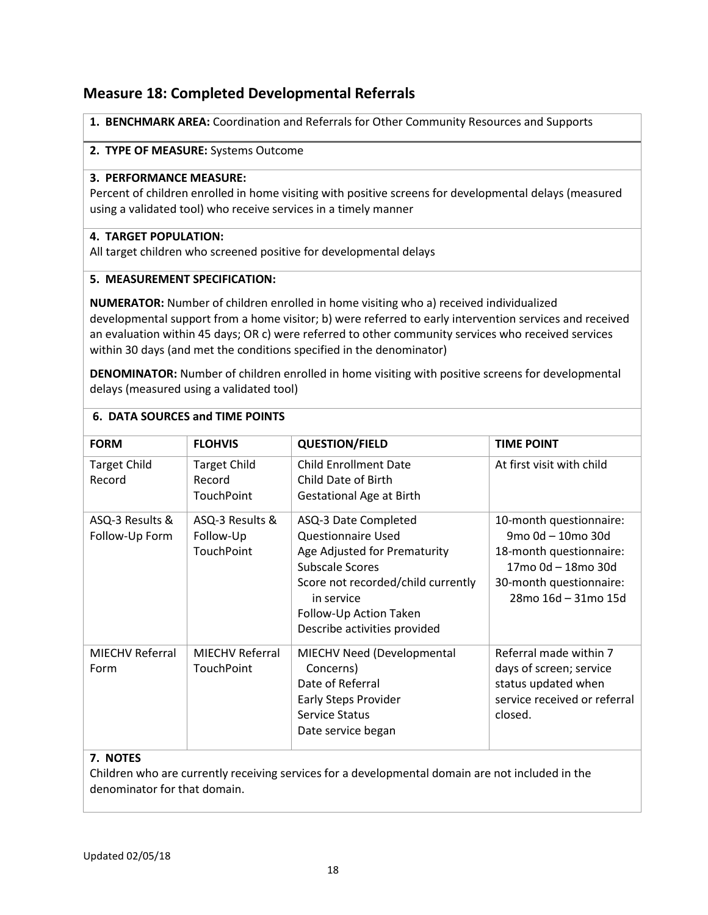## **Measure 18: Completed Developmental Referrals**

**1. BENCHMARK AREA:** Coordination and Referrals for Other Community Resources and Supports

#### **2. TYPE OF MEASURE:** Systems Outcome

#### **3. PERFORMANCE MEASURE:**

Percent of children enrolled in home visiting with positive screens for developmental delays (measured using a validated tool) who receive services in a timely manner

## **4. TARGET POPULATION:**

All target children who screened positive for developmental delays

## **5. MEASUREMENT SPECIFICATION:**

**NUMERATOR:** Number of children enrolled in home visiting who a) received individualized developmental support from a home visitor; b) were referred to early intervention services and received an evaluation within 45 days; OR c) were referred to other community services who received services within 30 days (and met the conditions specified in the denominator)

**DENOMINATOR:** Number of children enrolled in home visiting with positive screens for developmental delays (measured using a validated tool)

| <b>FORM</b>                       | <b>FLOHVIS</b>                              | <b>QUESTION/FIELD</b>                                                                                                                                                                                                     | <b>TIME POINT</b>                                                                                                                               |  |
|-----------------------------------|---------------------------------------------|---------------------------------------------------------------------------------------------------------------------------------------------------------------------------------------------------------------------------|-------------------------------------------------------------------------------------------------------------------------------------------------|--|
| <b>Target Child</b><br>Record     | <b>Target Child</b><br>Record<br>TouchPoint | <b>Child Enrollment Date</b><br>Child Date of Birth<br><b>Gestational Age at Birth</b>                                                                                                                                    | At first visit with child                                                                                                                       |  |
| ASQ-3 Results &<br>Follow-Up Form | ASQ-3 Results &<br>Follow-Up<br>TouchPoint  | ASQ-3 Date Completed<br><b>Questionnaire Used</b><br>Age Adjusted for Prematurity<br><b>Subscale Scores</b><br>Score not recorded/child currently<br>in service<br>Follow-Up Action Taken<br>Describe activities provided | 10-month questionnaire:<br>9mo 0d - 10mo 30d<br>18-month questionnaire:<br>17mo 0d - 18mo 30d<br>30-month questionnaire:<br>28mo 16d - 31mo 15d |  |
| <b>MIECHV Referral</b><br>Form    | <b>MIECHV Referral</b><br>TouchPoint        | MIECHV Need (Developmental<br>Concerns)<br>Date of Referral<br><b>Early Steps Provider</b><br><b>Service Status</b><br>Date service began                                                                                 | Referral made within 7<br>days of screen; service<br>status updated when<br>service received or referral<br>closed.                             |  |
| <b>NIATEC</b>                     |                                             |                                                                                                                                                                                                                           |                                                                                                                                                 |  |

#### **6. DATA SOURCES and TIME POINTS**

## **7. NOTES**

Children who are currently receiving services for a developmental domain are not included in the denominator for that domain.